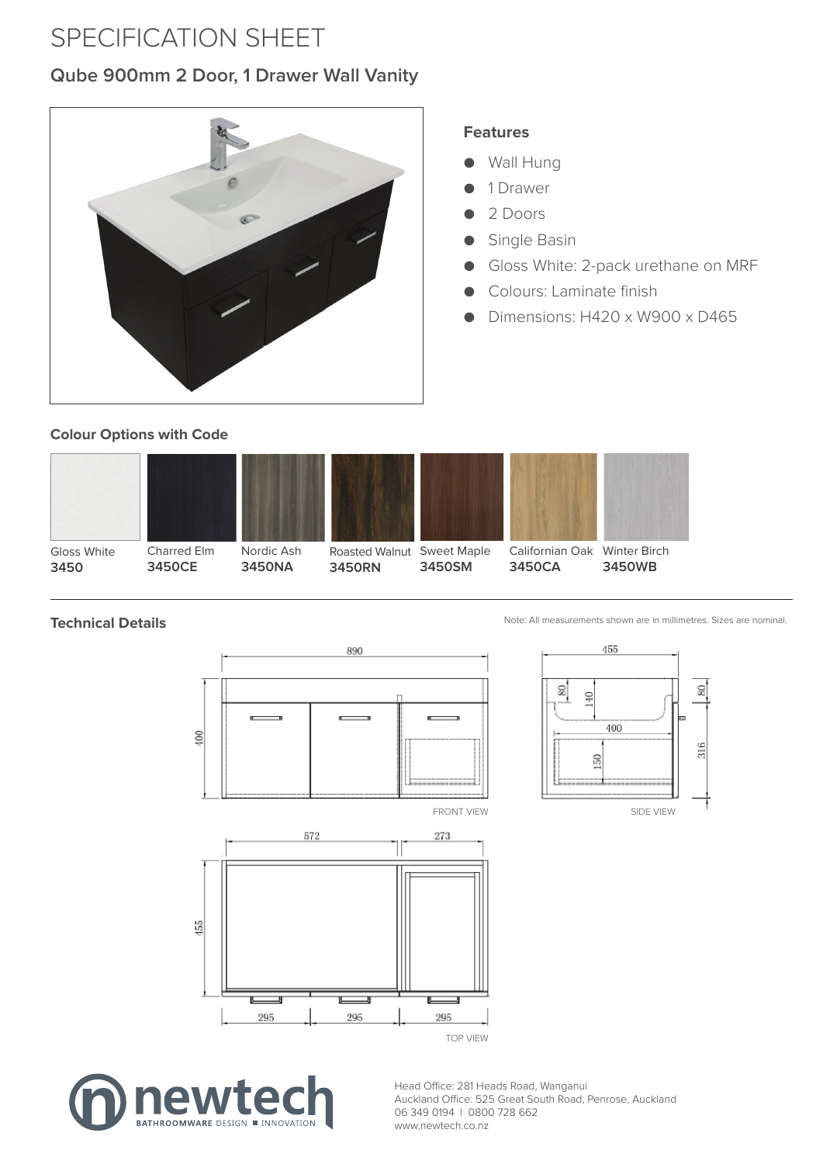# SPECIFICATION SHEET

#### **Qube 900mm 2 Door, 1 Drawer Wall Vanity**



#### **Features**

- **Wall Hung**
- 1 Drawer
- 2 Doors
- Single Basin
- Gloss White: 2-pack urethane on MRF
- Colours: Laminate finish
- Dimensions: H420 x W900 x D465

#### **Colour Options with Code**



# **Technical Details**







Head Office: 281 Heads Road, Wanganui Auckland Office: 525 Great South Road, Penrose, Auckland 06 349 0194 | 0800 728 662 www.newtech.co.nz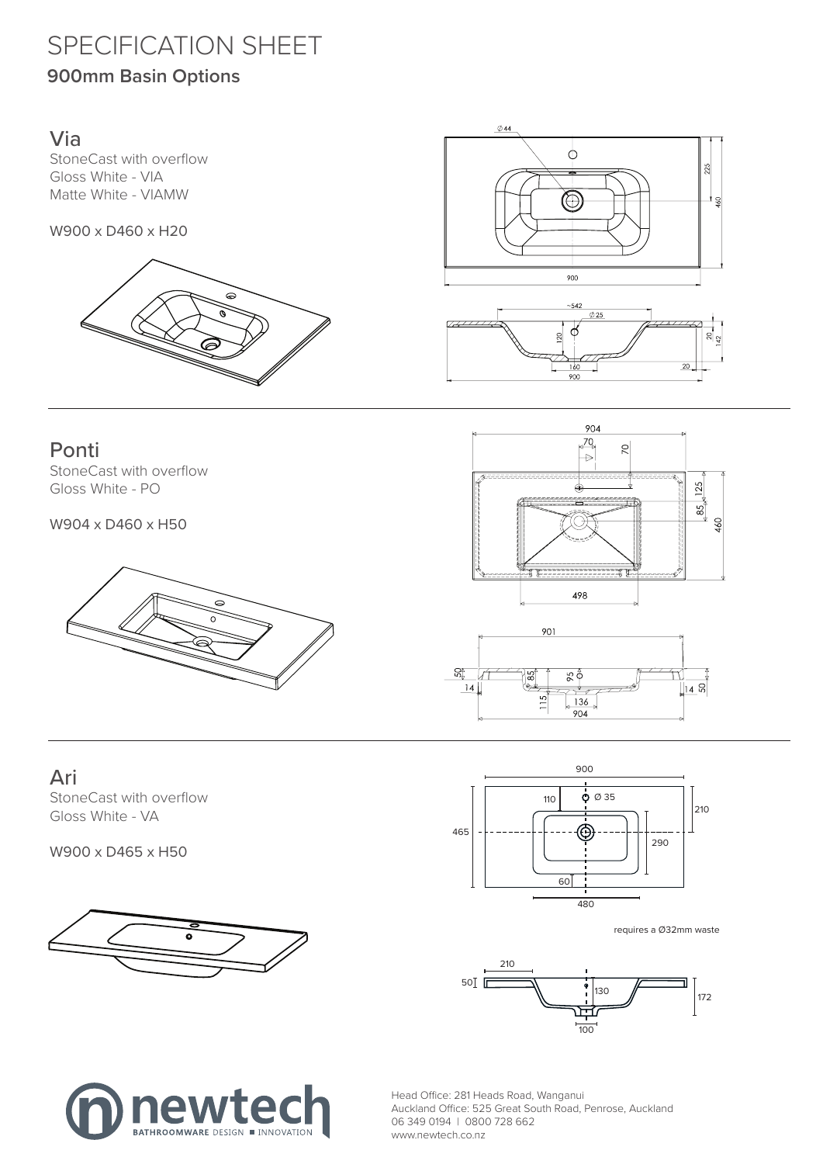# SPECIFICATION SHEET

## **900mm Basin Options**

#### Via

StoneCast with overflow Gloss White - VIA Matte White - VIAMW

W900 x D460 x H20





#### Ponti

StoneCast with overflow Gloss White - PO

W904 x D460 x H50







#### Ari

StoneCast with overflow Gloss White - VA

W900 x D465 x H50





requires a Ø32mm waste





Head Office: 281 Heads Road, Wanganui Auckland Office: 525 Great South Road, Penrose, Auckland 06 349 0194 | 0800 728 662 www.newtech.co.nz